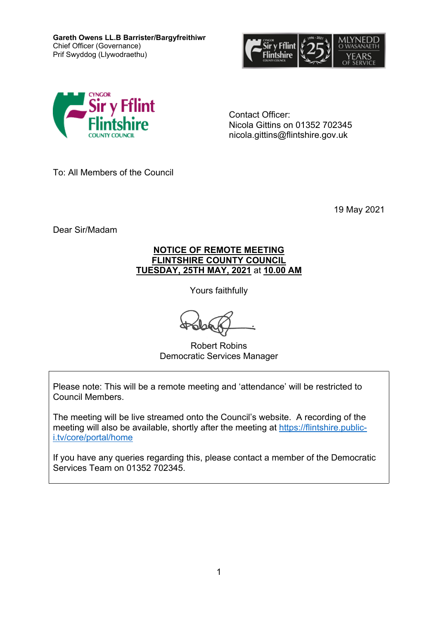**Gareth Owens LL.B Barrister/Bargyfreithiwr** Chief Officer (Governance) Prif Swyddog (Llywodraethu)





Contact Officer: Nicola Gittins on 01352 702345 nicola.gittins@flintshire.gov.uk

To: All Members of the Council

19 May 2021

Dear Sir/Madam

### **NOTICE OF REMOTE MEETING FLINTSHIRE COUNTY COUNCIL TUESDAY, 25TH MAY, 2021** at **10.00 AM**

Yours faithfully

Robert Robins Democratic Services Manager

Please note: This will be a remote meeting and 'attendance' will be restricted to Council Members.

The meeting will be live streamed onto the Council's website. A recording of the meeting will also be available, shortly after the meeting at [https://flintshire.public](https://flintshire.public-i.tv/core/portal/home)[i.tv/core/portal/home](https://flintshire.public-i.tv/core/portal/home)

If you have any queries regarding this, please contact a member of the Democratic Services Team on 01352 702345.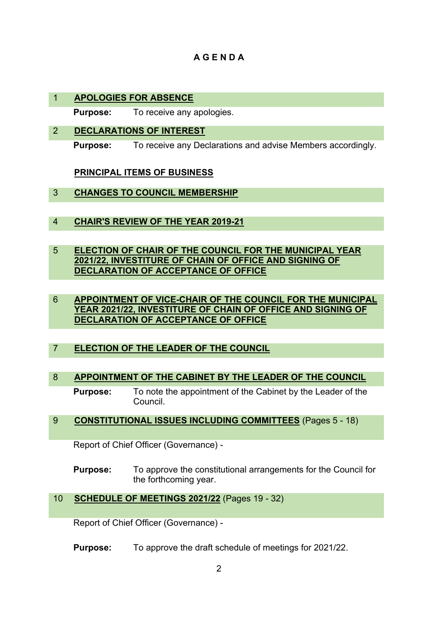# **A G E N D A**

## 1 **APOLOGIES FOR ABSENCE**

**Purpose:** To receive any apologies.

2 **DECLARATIONS OF INTEREST**

**Purpose:** To receive any Declarations and advise Members accordingly.

**PRINCIPAL ITEMS OF BUSINESS**

- 3 **CHANGES TO COUNCIL MEMBERSHIP**
- 4 **CHAIR'S REVIEW OF THE YEAR 2019-21**
- 5 **ELECTION OF CHAIR OF THE COUNCIL FOR THE MUNICIPAL YEAR 2021/22, INVESTITURE OF CHAIN OF OFFICE AND SIGNING OF DECLARATION OF ACCEPTANCE OF OFFICE**
- 6 **APPOINTMENT OF VICE-CHAIR OF THE COUNCIL FOR THE MUNICIPAL YEAR 2021/22, INVESTITURE OF CHAIN OF OFFICE AND SIGNING OF DECLARATION OF ACCEPTANCE OF OFFICE**
- 7 **ELECTION OF THE LEADER OF THE COUNCIL**

# 8 **APPOINTMENT OF THE CABINET BY THE LEADER OF THE COUNCIL**

**Purpose:** To note the appointment of the Cabinet by the Leader of the Council.

### 9 **CONSTITUTIONAL ISSUES INCLUDING COMMITTEES** (Pages 5 - 18)

Report of Chief Officer (Governance) -

**Purpose:** To approve the constitutional arrangements for the Council for the forthcoming year.

# 10 **SCHEDULE OF MEETINGS 2021/22** (Pages 19 - 32)

Report of Chief Officer (Governance) -

**Purpose:** To approve the draft schedule of meetings for 2021/22.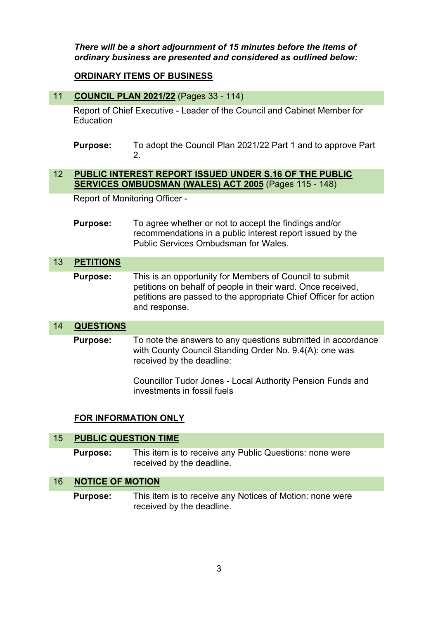*There will be a short adjournment of 15 minutes before the items of ordinary business are presented and considered as outlined below:*

### **ORDINARY ITEMS OF BUSINESS**

#### 11 **COUNCIL PLAN 2021/22** (Pages 33 - 114)

Report of Chief Executive - Leader of the Council and Cabinet Member for Education

**Purpose:** To adopt the Council Plan 2021/22 Part 1 and to approve Part 2.

#### 12 **PUBLIC INTEREST REPORT ISSUED UNDER S.16 OF THE PUBLIC SERVICES OMBUDSMAN (WALES) ACT 2005** (Pages 115 - 148)

Report of Monitoring Officer -

**Purpose:** To agree whether or not to accept the findings and/or recommendations in a public interest report issued by the Public Services Ombudsman for Wales.

#### 13 **PETITIONS**

**Purpose:** This is an opportunity for Members of Council to submit petitions on behalf of people in their ward. Once received, petitions are passed to the appropriate Chief Officer for action and response.

#### 14 **QUESTIONS**

**Purpose:** To note the answers to any questions submitted in accordance with County Council Standing Order No. 9.4(A): one was received by the deadline:

> Councillor Tudor Jones - Local Authority Pension Funds and investments in fossil fuels

#### **FOR INFORMATION ONLY**

| 15 PUBLIC QUESTION TIME |                                                                                      |
|-------------------------|--------------------------------------------------------------------------------------|
| <b>Purpose:</b>         | This item is to receive any Public Questions: none were<br>received by the deadline. |
| 16 NOTICE OF MOTION     |                                                                                      |
|                         |                                                                                      |

**Purpose:** This item is to receive any Notices of Motion: none were received by the deadline.